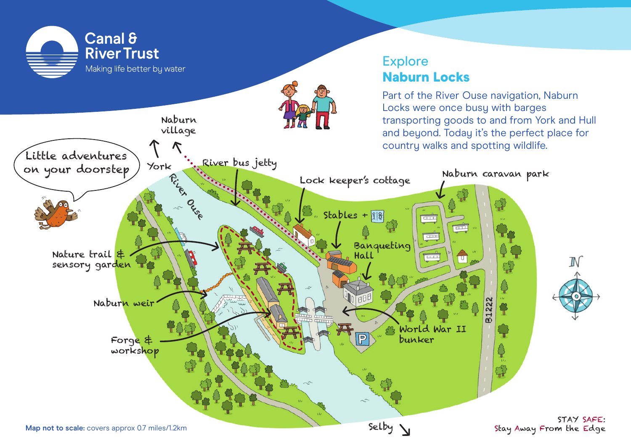